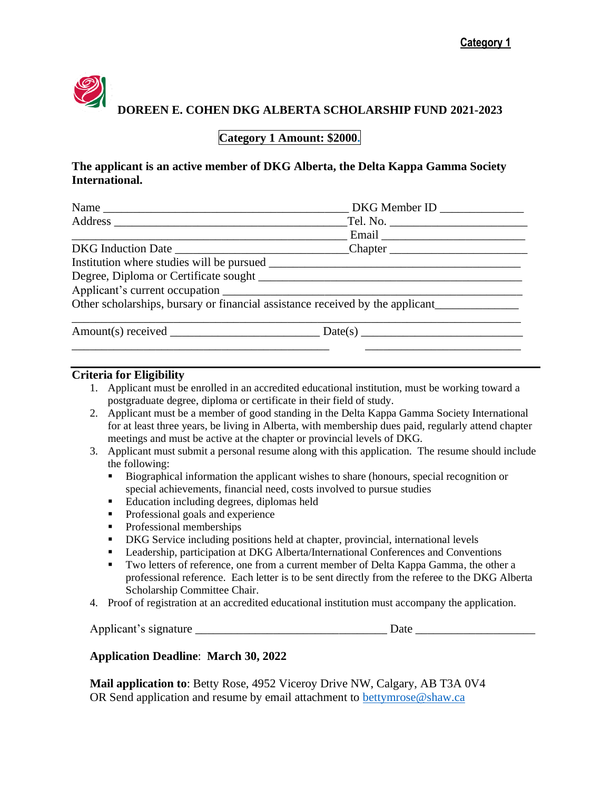

 **DOREEN E. COHEN DKG ALBERTA SCHOLARSHIP FUND 2021-2023**

## **Category 1 Amount: \$2000.**

### **The applicant is an active member of DKG Alberta, the Delta Kappa Gamma Society International.**

| $\sim$ DKG Member ID $\sim$                                                   |
|-------------------------------------------------------------------------------|
| _Tel. No. ______________________________                                      |
| $\frac{1}{\sqrt{1-\frac{1}{2}}}\text{Email}$                                  |
|                                                                               |
|                                                                               |
|                                                                               |
|                                                                               |
| Other scholarships, bursary or financial assistance received by the applicant |
|                                                                               |
|                                                                               |

#### **Criteria for Eligibility**

- 1. Applicant must be enrolled in an accredited educational institution, must be working toward a postgraduate degree, diploma or certificate in their field of study.
- 2. Applicant must be a member of good standing in the Delta Kappa Gamma Society International for at least three years, be living in Alberta, with membership dues paid, regularly attend chapter meetings and must be active at the chapter or provincial levels of DKG.
- 3. Applicant must submit a personal resume along with this application. The resume should include the following:
	- Biographical information the applicant wishes to share (honours, special recognition or special achievements, financial need, costs involved to pursue studies
	- Education including degrees, diplomas held
	- **•** Professional goals and experience
	- Professional memberships
	- DKG Service including positions held at chapter, provincial, international levels
	- Leadership, participation at DKG Alberta/International Conferences and Conventions
	- **Two letters of reference, one from a current member of Delta Kappa Gamma, the other a** professional reference. Each letter is to be sent directly from the referee to the DKG Alberta Scholarship Committee Chair.
- 4. Proof of registration at an accredited educational institution must accompany the application.

Applicant's signature \_\_\_\_\_\_\_\_\_\_\_\_\_\_\_\_\_\_\_\_\_\_\_\_\_\_\_\_\_\_\_\_ Date \_\_\_\_\_\_\_\_\_\_\_\_\_\_\_\_\_\_\_\_

#### **Application Deadline**: **March 30, 2022**

**Mail application to**: Betty Rose, 4952 Viceroy Drive NW, Calgary, AB T3A 0V4 OR Send application and resume by email attachment to **bettymrose@shaw.ca**